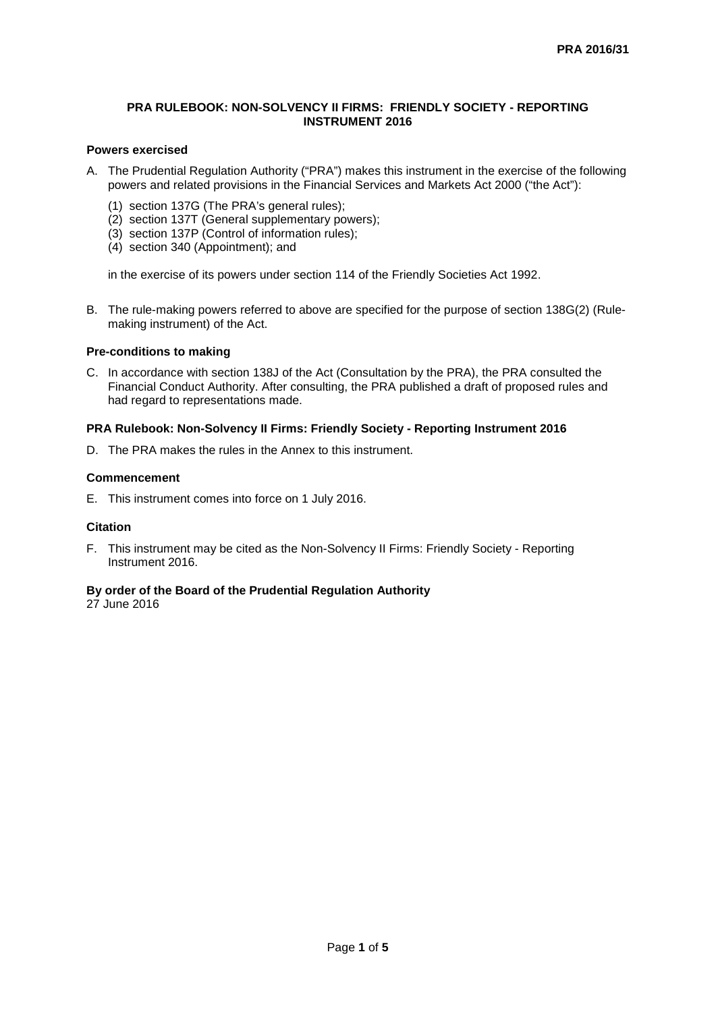## **PRA RULEBOOK: NON-SOLVENCY II FIRMS: FRIENDLY SOCIETY - REPORTING INSTRUMENT 2016**

## **Powers exercised**

- A. The Prudential Regulation Authority ("PRA") makes this instrument in the exercise of the following powers and related provisions in the Financial Services and Markets Act 2000 ("the Act"):
	- (1) section 137G (The PRA's general rules);
	- (2) section 137T (General supplementary powers):
	- (3) section 137P (Control of information rules);
	- (4) section 340 (Appointment); and

in the exercise of its powers under section 114 of the Friendly Societies Act 1992.

B. The rule-making powers referred to above are specified for the purpose of section 138G(2) (Rulemaking instrument) of the Act.

## **Pre-conditions to making**

C. In accordance with section 138J of the Act (Consultation by the PRA), the PRA consulted the Financial Conduct Authority. After consulting, the PRA published a draft of proposed rules and had regard to representations made.

# **PRA Rulebook: Non-Solvency II Firms: Friendly Society - Reporting Instrument 2016**

D. The PRA makes the rules in the Annex to this instrument.

## **Commencement**

E. This instrument comes into force on 1 July 2016.

## **Citation**

F. This instrument may be cited as the Non-Solvency II Firms: Friendly Society - Reporting Instrument 2016.

# **By order of the Board of the Prudential Regulation Authority**

27 June 2016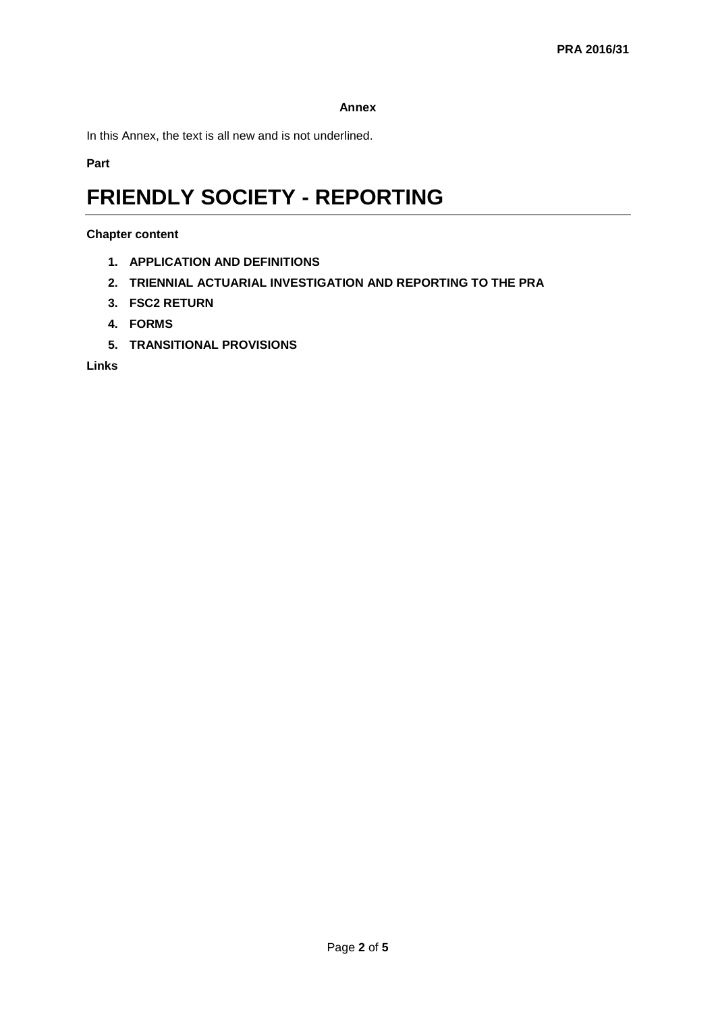## **Annex**

In this Annex, the text is all new and is not underlined.

**Part** 

# **FRIENDLY SOCIETY - REPORTING**

## **Chapter content**

- **1. APPLICATION AND DEFINITIONS**
- **2. TRIENNIAL ACTUARIAL INVESTIGATION AND REPORTING TO THE PRA**
- **3. FSC2 RETURN**
- **4. FORMS**
- **5. TRANSITIONAL PROVISIONS**

**Links**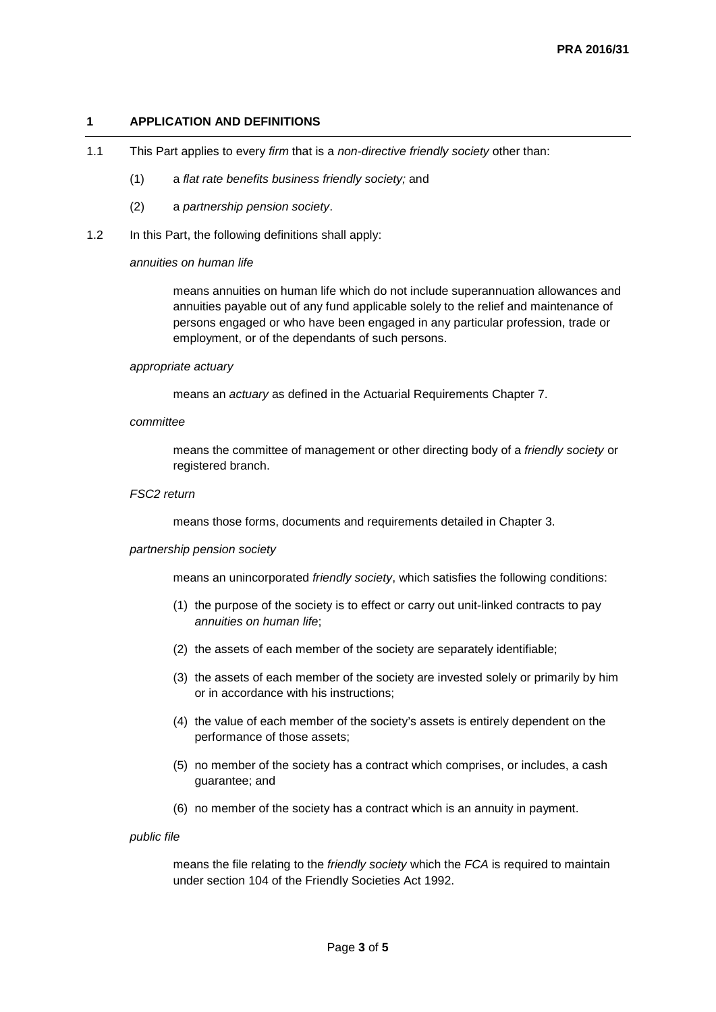## **1 APPLICATION AND DEFINITIONS**

- 1.1 This Part applies to every *firm* that is a *non-directive friendly society* other than:
	- (1) a *flat rate benefits business friendly society;* and
	- (2) a *partnership pension society*.
- 1.2 In this Part, the following definitions shall apply:

#### *annuities on human life*

means annuities on human life which do not include superannuation allowances and annuities payable out of any fund applicable solely to the relief and maintenance of persons engaged or who have been engaged in any particular profession, trade or employment, or of the dependants of such persons.

### *appropriate actuary*

means an *actuary* as defined in the Actuarial Requirements Chapter 7.

#### *committee*

means the committee of management or other directing body of a *friendly society* or registered branch.

## *FSC2 return*

means those forms, documents and requirements detailed in Chapter 3.

## *partnership pension society*

means an unincorporated *friendly society*, which satisfies the following conditions:

- (1) the purpose of the society is to effect or carry out unit-linked contracts to pay *annuities on human life*;
- (2) the assets of each member of the society are separately identifiable;
- (3) the assets of each member of the society are invested solely or primarily by him or in accordance with his instructions;
- (4) the value of each member of the society's assets is entirely dependent on the performance of those assets;
- (5) no member of the society has a contract which comprises, or includes, a cash guarantee; and
- (6) no member of the society has a contract which is an annuity in payment.

#### *public file*

means the file relating to the *friendly society* which the *FCA* is required to maintain under section 104 of the Friendly Societies Act 1992.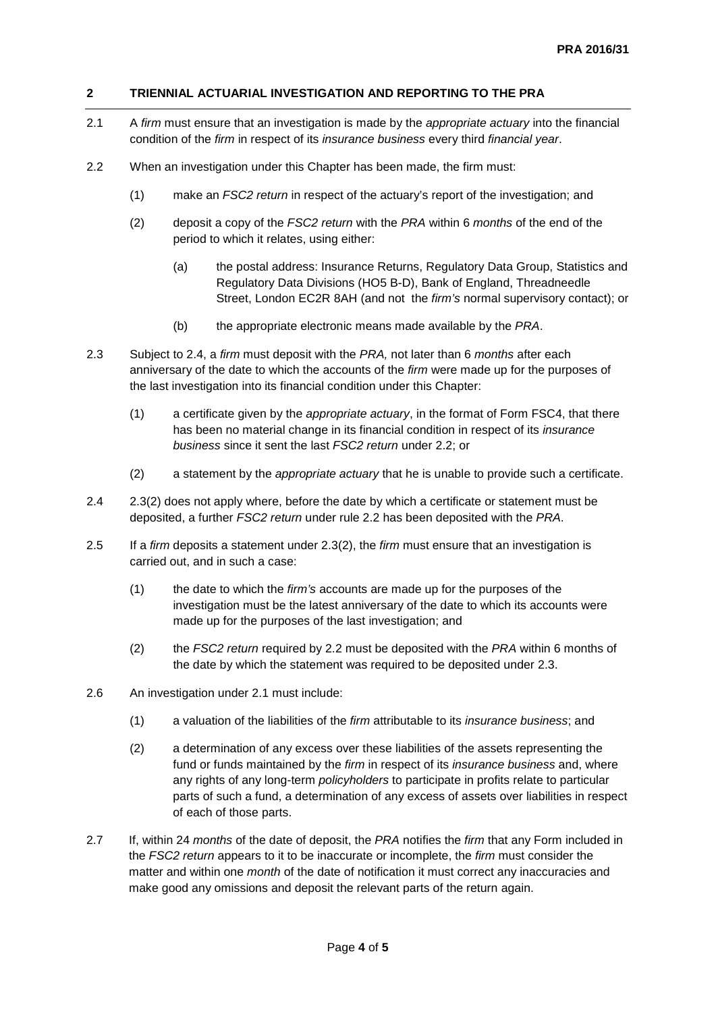# **2 TRIENNIAL ACTUARIAL INVESTIGATION AND REPORTING TO THE PRA**

- 2.1 A *firm* must ensure that an investigation is made by the *appropriate actuary* into the financial condition of the *firm* in respect of its *insurance business* every third *financial year*.
- 2.2 When an investigation under this Chapter has been made, the firm must:
	- (1) make an *FSC2 return* in respect of the actuary's report of the investigation; and
	- (2) deposit a copy of the *FSC2 return* with the *PRA* within 6 *months* of the end of the period to which it relates, using either:
		- (a) the postal address: Insurance Returns, Regulatory Data Group, Statistics and Regulatory Data Divisions (HO5 B-D), Bank of England, Threadneedle Street, London EC2R 8AH (and not the *firm's* normal supervisory contact); or
		- (b) the appropriate electronic means made available by the *PRA*.
- 2.3 Subject to 2.4, a *firm* must deposit with the *PRA,* not later than 6 *months* after each anniversary of the date to which the accounts of the *firm* were made up for the purposes of the last investigation into its financial condition under this Chapter:
	- (1) a certificate given by the *appropriate actuary*, in the format of Form FSC4, that there has been no material change in its financial condition in respect of its *insurance business* since it sent the last *FSC2 return* under 2.2; or
	- (2) a statement by the *appropriate actuary* that he is unable to provide such a certificate.
- 2.4 2.3(2) does not apply where, before the date by which a certificate or statement must be deposited, a further *FSC2 return* under rule 2.2 has been deposited with the *PRA*.
- 2.5 If a *firm* deposits a statement under 2.3(2), the *firm* must ensure that an investigation is carried out, and in such a case:
	- (1) the date to which the *firm's* accounts are made up for the purposes of the investigation must be the latest anniversary of the date to which its accounts were made up for the purposes of the last investigation; and
	- (2) the *FSC2 return* required by 2.2 must be deposited with the *PRA* within 6 months of the date by which the statement was required to be deposited under 2.3.
- 2.6 An investigation under 2.1 must include:
	- (1) a valuation of the liabilities of the *firm* attributable to its *insurance business*; and
	- (2) a determination of any excess over these liabilities of the assets representing the fund or funds maintained by the *firm* in respect of its *insurance business* and, where any rights of any long-term *policyholders* to participate in profits relate to particular parts of such a fund, a determination of any excess of assets over liabilities in respect of each of those parts.
- 2.7 If, within 24 *months* of the date of deposit, the *PRA* notifies the *firm* that any Form included in the *FSC2 return* appears to it to be inaccurate or incomplete, the *firm* must consider the matter and within one *month* of the date of notification it must correct any inaccuracies and make good any omissions and deposit the relevant parts of the return again.